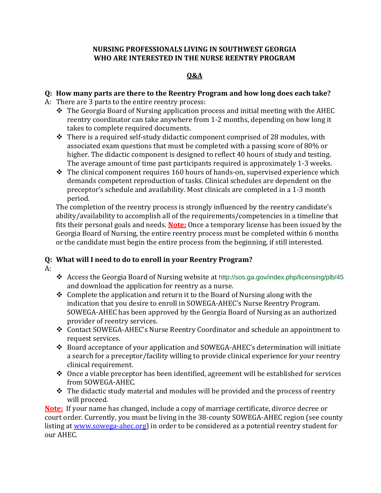#### **NURSING PROFESSIONALS LIVING IN SOUTHWEST GEORGIA WHO ARE INTERESTED IN THE NURSE REENTRY PROGRAM**

### **Q&A**

#### **Q: How many parts are there to the Reentry Program and how long does each take?**

- A: There are 3 parts to the entire reentry process:
	- $\triangle$  The Georgia Board of Nursing application process and initial meeting with the AHEC reentry coordinator can take anywhere from 1-2 months, depending on how long it takes to complete required documents.
	- $\triangle$  There is a required self-study didactic component comprised of 28 modules, with associated exam questions that must be completed with a passing score of 80% or higher. The didactic component is designed to reflect 40 hours of study and testing. The average amount of time past participants required is approximately 1-3 weeks.
	- $\cdot \cdot$  The clinical component requires 160 hours of hands-on, supervised experience which demands competent reproduction of tasks. Clinical schedules are dependent on the preceptor's schedule and availability. Most clinicals are completed in a 1-3 month period.

The completion of the reentry process is strongly influenced by the reentry candidate's ability/availability to accomplish all of the requirements/competencies in a timeline that fits their personal goals and needs. **Note:** Once a temporary license has been issued by the Georgia Board of Nursing, the entire reentry process must be completed within 6 months or the candidate must begin the entire process from the beginning, if still interested.

# **Q: What will I need to do to enroll in your Reentry Program?**

- $A:$
- Access the Georgia Board of Nursing website at http://sos.ga.gov/index.php/licensing/plb/45 and download the application for reentry as a nurse.
- $\triangle$  Complete the application and return it to the Board of Nursing along with the indication that you desire to enroll in SOWEGA-AHEC's Nurse Reentry Program. SOWEGA-AHEC has been approved by the Georgia Board of Nursing as an authorized provider of reentry services.
- Contact SOWEGA-AHEC's Nurse Reentry Coordinator and schedule an appointment to request services.
- Board acceptance of your application and SOWEGA-AHEC's determination will initiate a search for a preceptor/facility willing to provide clinical experience for your reentry clinical requirement.
- $\triangle$  Once a viable preceptor has been identified, agreement will be established for services from SOWEGA-AHEC.
- $\triangle$  The didactic study material and modules will be provided and the process of reentry will proceed.

**Note:** If your name has changed, include a copy of marriage certificate, divorce decree or court order. Currently, you must be living in the 38-county SOWEGA-AHEC region (see county listing at [www.sowega-ahec.org\)](www.sowega-ahec.org) in order to be considered as a potential reentry student for our AHEC.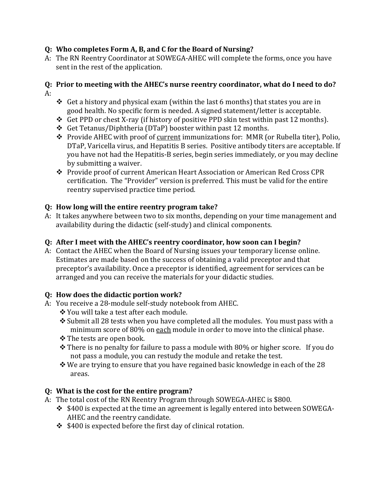### **Q: Who completes Form A, B, and C for the Board of Nursing?**

A: The RN Reentry Coordinator at SOWEGA-AHEC will complete the forms, once you have sent in the rest of the application.

#### **Q: Prior to meeting with the AHEC's nurse reentry coordinator, what do I need to do?** A:

- $\triangleleft$  Get a history and physical exam (within the last 6 months) that states you are in good health. No specific form is needed. A signed statement/letter is acceptable.
- Get PPD or chest X-ray (if history of positive PPD skin test within past 12 months).
- Get Tetanus/Diphtheria (DTaP) booster within past 12 months.
- \* Provide AHEC with proof of current immunizations for: MMR (or Rubella titer), Polio, DTaP, Varicella virus, and Hepatitis B series. Positive antibody titers are acceptable. If you have not had the Hepatitis-B series, begin series immediately, or you may decline by submitting a waiver.
- Provide proof of current American Heart Association or American Red Cross CPR certification. The "Provider" version is preferred. This must be valid for the entire reentry supervised practice time period.

# **Q: How long will the entire reentry program take?**

A: It takes anywhere between two to six months, depending on your time management and availability during the didactic (self-study) and clinical components.

# **Q: After I meet with the AHEC's reentry coordinator, how soon can I begin?**

A: Contact the AHEC when the Board of Nursing issues your temporary license online. Estimates are made based on the success of obtaining a valid preceptor and that preceptor's availability. Once a preceptor is identified, agreement for services can be arranged and you can receive the materials for your didactic studies.

## **Q: How does the didactic portion work?**

- A: You receive a 28-module self-study notebook from AHEC.
	- You will take a test after each module.
	- $\cdot$  Submit all 28 tests when you have completed all the modules. You must pass with a minimum score of 80% on each module in order to move into the clinical phase.
	- The tests are open book.
	- $\hat{\mathbf{v}}$  There is no penalty for failure to pass a module with 80% or higher score. If you do not pass a module, you can restudy the module and retake the test.
	- $\cdot$  We are trying to ensure that you have regained basic knowledge in each of the 28 areas.

# **Q: What is the cost for the entire program?**

- A: The total cost of the RN Reentry Program through SOWEGA-AHEC is \$800.
	- $\div$  \$400 is expected at the time an agreement is legally entered into between SOWEGA-AHEC and the reentry candidate.
	- $\div$  \$400 is expected before the first day of clinical rotation.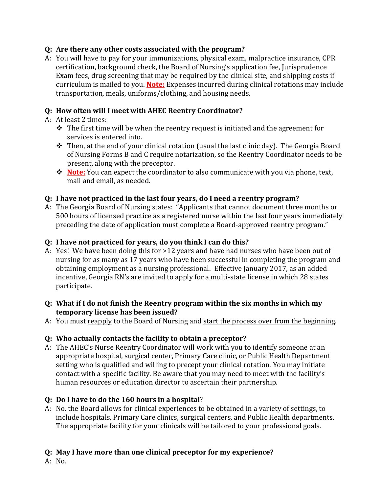### **Q: Are there any other costs associated with the program?**

A: You will have to pay for your immunizations, physical exam, malpractice insurance, CPR certification, background check, the Board of Nursing's application fee, Jurisprudence Exam fees, drug screening that may be required by the clinical site, and shipping costs if curriculum is mailed to you. **Note:** Expenses incurred during clinical rotations may include transportation, meals, uniforms/clothing, and housing needs.

### **Q: How often will I meet with AHEC Reentry Coordinator?**

- A: At least 2 times:
	- $\cdot \cdot$  The first time will be when the reentry request is initiated and the agreement for services is entered into.
	- \* Then, at the end of your clinical rotation (usual the last clinic day). The Georgia Board of Nursing Forms B and C require notarization, so the Reentry Coordinator needs to be present, along with the preceptor.
	- **Note:** You can expect the coordinator to also communicate with you via phone, text, mail and email, as needed.

### **Q: I have not practiced in the last four years, do I need a reentry program?**

A: The Georgia Board of Nursing states: "Applicants that cannot document three months or 500 hours of licensed practice as a registered nurse within the last four years immediately preceding the date of application must complete a Board-approved reentry program."

#### **Q: I have not practiced for years, do you think I can do this?**

- A: Yes! We have been doing this for >12 years and have had nurses who have been out of nursing for as many as 17 years who have been successful in completing the program and obtaining employment as a nursing professional. Effective January 2017, as an added incentive, Georgia RN's are invited to apply for a multi-state license in which 28 states participate.
- **Q: What if I do not finish the Reentry program within the six months in which my temporary license has been issued?**
- A: You must reapply to the Board of Nursing and start the process over from the beginning.

## **Q: Who actually contacts the facility to obtain a preceptor?**

A: The AHEC's Nurse Reentry Coordinator will work with you to identify someone at an appropriate hospital, surgical center, Primary Care clinic, or Public Health Department setting who is qualified and willing to precept your clinical rotation. You may initiate contact with a specific facility. Be aware that you may need to meet with the facility's human resources or education director to ascertain their partnership.

## **Q: Do I have to do the 160 hours in a hospital**?

A: No. the Board allows for clinical experiences to be obtained in a variety of settings, to include hospitals, Primary Care clinics, surgical centers, and Public Health departments. The appropriate facility for your clinicals will be tailored to your professional goals.

## **Q: May I have more than one clinical preceptor for my experience?**

A: No.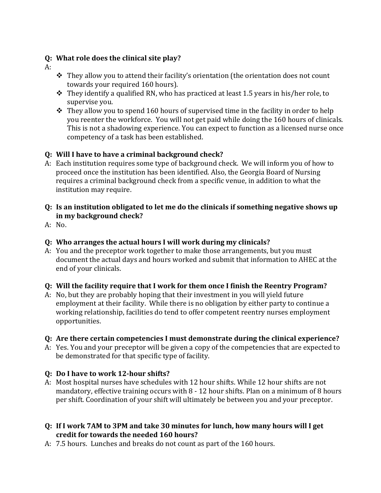#### **Q: What role does the clinical site play?**

- A:
- \* They allow you to attend their facility's orientation (the orientation does not count towards your required 160 hours).
- $\cdot \cdot$  They identify a qualified RN, who has practiced at least 1.5 years in his/her role, to supervise you.
- $\cdot$  They allow you to spend 160 hours of supervised time in the facility in order to help you reenter the workforce. You will not get paid while doing the 160 hours of clinicals. This is not a shadowing experience. You can expect to function as a licensed nurse once competency of a task has been established.

## **Q: Will I have to have a criminal background check?**

- A: Each institution requires some type of background check. We will inform you of how to proceed once the institution has been identified. Also, the Georgia Board of Nursing requires a criminal background check from a specific venue, in addition to what the institution may require.
- **Q: Is an institution obligated to let me do the clinicals if something negative shows up in my background check?**
- A: No.

### **Q: Who arranges the actual hours I will work during my clinicals?**

A: You and the preceptor work together to make those arrangements, but you must document the actual days and hours worked and submit that information to AHEC at the end of your clinicals.

#### **Q: Will the facility require that I work for them once I finish the Reentry Program?**

A: No, but they are probably hoping that their investment in you will yield future employment at their facility. While there is no obligation by either party to continue a working relationship, facilities do tend to offer competent reentry nurses employment opportunities.

#### **Q: Are there certain competencies I must demonstrate during the clinical experience?**

A: Yes. You and your preceptor will be given a copy of the competencies that are expected to be demonstrated for that specific type of facility.

## **Q: Do I have to work 12-hour shifts?**

A: Most hospital nurses have schedules with 12 hour shifts. While 12 hour shifts are not mandatory, effective training occurs with 8 - 12 hour shifts. Plan on a minimum of 8 hours per shift. Coordination of your shift will ultimately be between you and your preceptor.

#### **Q: If I work 7AM to 3PM and take 30 minutes for lunch, how many hours will I get credit for towards the needed 160 hours?**

A: 7.5 hours. Lunches and breaks do not count as part of the 160 hours.